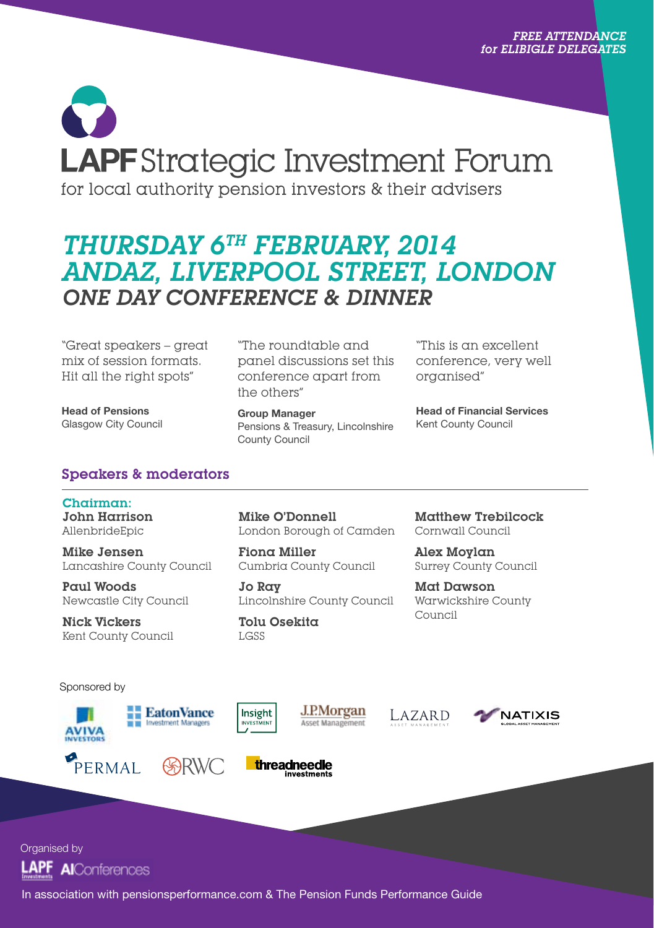# **LAPF** Strategic Investment Forum for local authority pension investors & their advisers

# Thursday 6th February, 2014 andaz, LIVERPOOL STREET, London ONE DAY CONFERENCE & DINNER

"Great speakers – great mix of session formats. Hit all the right spots"

Head of Pensions Glasgow City Council

"The roundtable and panel discussions set this conference apart from the others"

Group Manager Pensions & Treasury, Lincolnshire County Council

"This is an excellent conference, very well organised"

Head of Financial Services Kent County Council

# Speakers & moderators

Chairman: John Harrison AllenbrideEpic

Mike Jensen Lancashire County Council

Paul Woods Newcastle City Council

Nick Vickers Kent County Council Mike O'Donnell London Borough of Camden

Fiona Miller Cumbria County Council

Jo Ray Lincolnshire County Council

Tolu Osekita LGSS

threadneedle

Matthew Trebilcock Cornwall Council

Alex Moylan Surrey County Council

Mat Dawson Warwickshire County Council

Sponsored by











Organised by **AI**Conferences

In association with pensionsperformance.com & The Pension Funds Performance Guide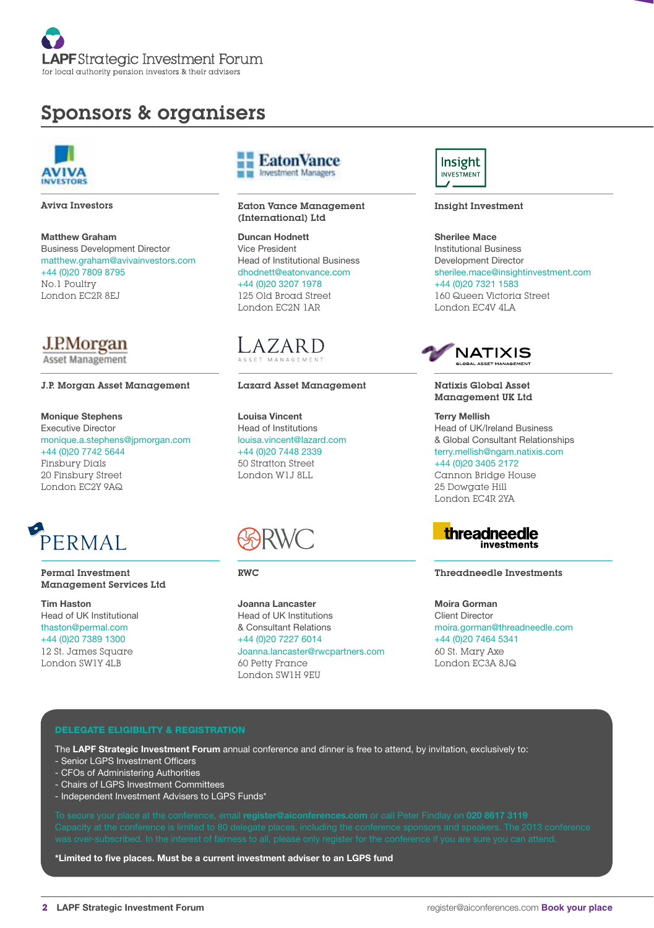

# Sponsors & organisers



Aviva Investors

Matthew Graham Business Development Director matthew.graham@avivainvestors.com +44 (0)20 7809 8795 No.1 Poultry London EC2R 8EJ

J.P.Morgan Asset Management

#### J.P. Morgan Asset Management

Monique Stephens Executive Director monique.a.stephens@jpmorgan.com +44 (0)20 7742 5644 Finsbury Dials 20 Finsbury Street London EC2Y 9AQ



Permal Investment Management Services Ltd

Tim Haston Head of UK Institutional thaston@permal.com +44 (0)20 7389 1300 12 St. James Square London SW1Y 4LB



Eaton Vance Management (International) Ltd

Duncan Hodnett Vice President Head of Institutional Business dhodnett@eatonvance.com +44 (0)20 3207 1978 125 Old Broad Street London EC2N 1AR



#### Lazard Asset Management

Louisa Vincent Head of Institutions louisa.vincent@lazard.com +44 (0)20 7448 2339 50 Stratton Street London W1J 8LL



RWC

Joanna Lancaster Head of UK Institutions & Consultant Relations +44 (0)20 7227 6014 Joanna.lancaster@rwcpartners.com 60 Petty France London SW1H 9EU



Insight Investment

Sherilee Mace Institutional Business Development Director sherilee.mace@insightinvestment.com +44 (0)20 7321 1583 160 Queen Victoria Street London EC4V 4LA



#### Natixis Global Asset Management UK Ltd

Terry Mellish Head of UK/Ireland Business & Global Consultant Relationships terry.mellish@ngam.natixis.com +44 (0)20 3405 2172 Cannon Bridge House 25 Dowgate Hill



London EC4R 2YA

Threadneedle Investments

Moira Gorman Client Director moira.gorman@threadneedle.com +44 (0)20 7464 5341 60 St. Mary Axe London EC3A 8JQ

#### DELEGATE ELIGIBILITY & REGISTRATION

The LAPF Strategic Investment Forum annual conference and dinner is free to attend, by invitation, exclusively to:

- Senior LGPS Investment Officers
- CFOs of Administering Authorities
- Chairs of LGPS Investment Committees
- Independent Investment Advisers to LGPS Funds\*

\*Limited to five places. Must be a current investment adviser to an LGPS fund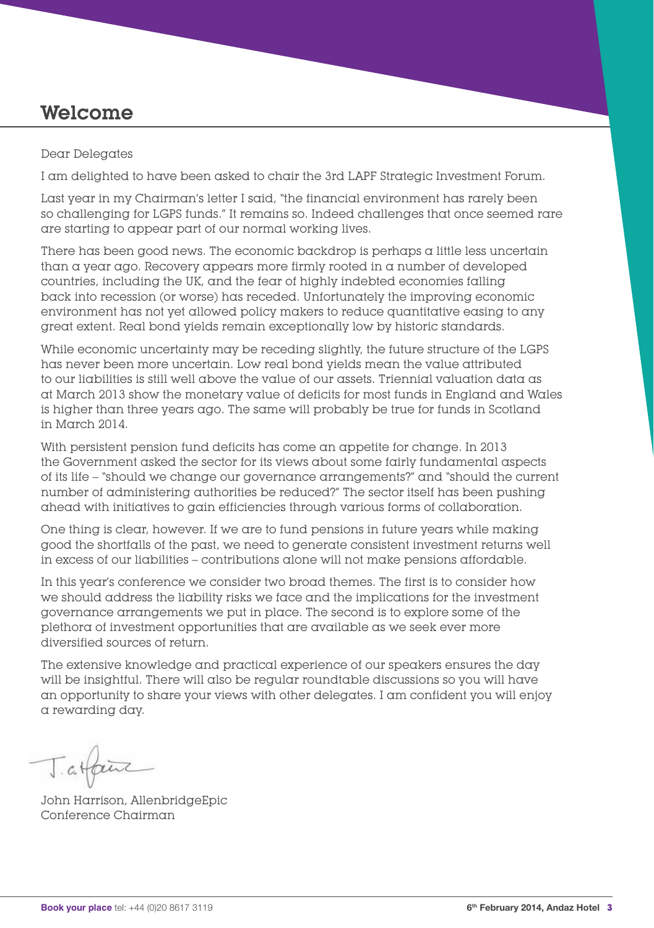# Welcome

## Dear Delegates

I am delighted to have been asked to chair the 3rd LAPF Strategic Investment Forum.

Last year in my Chairman's letter I said, "the financial environment has rarely been so challenging for LGPS funds." It remains so. Indeed challenges that once seemed rare are starting to appear part of our normal working lives.

There has been good news. The economic backdrop is perhaps a little less uncertain than a year ago. Recovery appears more firmly rooted in a number of developed countries, including the UK, and the fear of highly indebted economies falling back into recession (or worse) has receded. Unfortunately the improving economic environment has not yet allowed policy makers to reduce quantitative easing to any great extent. Real bond yields remain exceptionally low by historic standards.

While economic uncertainty may be receding slightly, the future structure of the LGPS has never been more uncertain. Low real bond yields mean the value attributed to our liabilities is still well above the value of our assets. Triennial valuation data as at March 2013 show the monetary value of deficits for most funds in England and Wales is higher than three years ago. The same will probably be true for funds in Scotland in March 2014.

With persistent pension fund deficits has come an appetite for change. In 2013 the Government asked the sector for its views about some fairly fundamental aspects of its life – "should we change our governance arrangements?" and "should the current number of administering authorities be reduced?" The sector itself has been pushing ahead with initiatives to gain efficiencies through various forms of collaboration.

One thing is clear, however. If we are to fund pensions in future years while making good the shortfalls of the past, we need to generate consistent investment returns well in excess of our liabilities – contributions alone will not make pensions affordable.

In this year's conference we consider two broad themes. The first is to consider how we should address the liability risks we face and the implications for the investment governance arrangements we put in place. The second is to explore some of the plethora of investment opportunities that are available as we seek ever more diversified sources of return.

The extensive knowledge and practical experience of our speakers ensures the day will be insightful. There will also be regular roundtable discussions so you will have an opportunity to share your views with other delegates. I am confident you will enjoy a rewarding day.

Tatfaire

John Harrison, AllenbridgeEpic Conference Chairman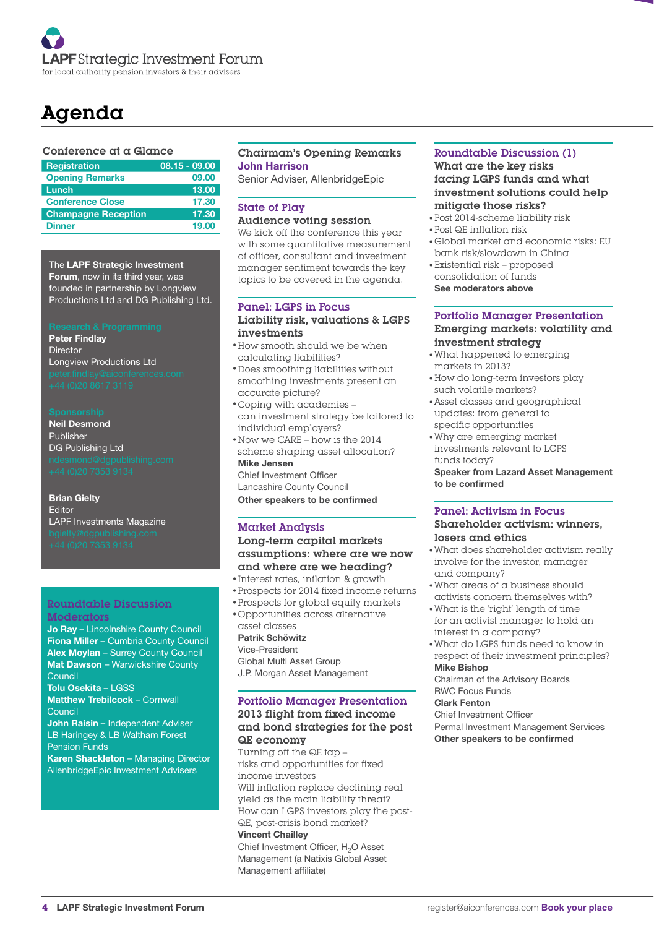

# Agenda

#### Conference at a Glance

| <b>Registration</b>        | $08.15 - 09.00$ |
|----------------------------|-----------------|
| <b>Opening Remarks</b>     | 09.00           |
| Lunch                      | 13.00           |
| <b>Conference Close</b>    | 17.30           |
| <b>Champagne Reception</b> | 17.30           |
| <b>Dinner</b>              | 19.00           |

The LAPF Strategic Investment Forum, now in its third year, was founded in partnership by Longview Productions Ltd and DG Publishing Ltd.

Peter Findlay **Director** Longview Productions Ltd

Neil Desmond Publisher DG Publishing Ltd

Brian Gielty Editor LAPF Investments Magazine

#### Roundtable Discussion Moderators

Jo Ray – Lincolnshire County Council Fiona Miller – Cumbria County Council Alex Moylan – Surrey County Council Mat Dawson – Warwickshire County Council Tolu Osekita – LGSS Matthew Trebilcock – Cornwall Council John Raisin – Independent Adviser LB Haringey & LB Waltham Forest Pension Funds Karen Shackleton – Managing Director

AllenbridgeEpic Investment Advisers

#### Chairman's Opening Remarks John Harrison

Senior Adviser, AllenbridgeEpic

# State of Play

#### Audience voting session

We kick off the conference this year with some quantitative measurement of officer, consultant and investment manager sentiment towards the key topics to be covered in the agenda.

#### Panel: LGPS in Focus Liability risk, valuations & LGPS investments

- How smooth should we be when calculating liabilities?
- Does smoothing liabilities without smoothing investments present an accurate picture?
- Coping with academies can investment strategy be tailored to individual employers?
- Now we CARE how is the 2014 scheme shaping asset allocation? Mike Jensen Chief Investment Officer

Lancashire County Council

Other speakers to be confirmed

#### Market Analysis

Long-term capital markets assumptions: where are we now and where are we heading?

- Interest rates, inflation & growth
- Prospects for 2014 fixed income returns •
- Prospects for global equity markets •

#### Opportunities across alternative • asset classes

## Patrik Schöwitz

Vice-President Global Multi Asset Group J.P. Morgan Asset Management

#### Portfolio Manager Presentation

#### 2013 flight from fixed income and bond strategies for the post QE economy

Turning off the QE tap – risks and opportunities for fixed income investors Will inflation replace declining real yield as the main liability threat? How can LGPS investors play the post-QE, post-crisis bond market? Vincent Chailley

Chief Investment Officer, H<sub>2</sub>O Asset Management (a Natixis Global Asset Management affiliate)

#### Roundtable Discussion (1) What are the key risks facing LGPS funds and what investment solutions could help mitigate those risks?

- Post 2014-scheme liability risk •
- Post QE inflation risk •
- Global market and economic risks: EU bank risk/slowdown in China
- Existential risk proposed consolidation of funds See moderators above

#### Portfolio Manager Presentation Emerging markets: volatility and investment strategy

- What happened to emerging markets in 2013?
- How do long-term investors play such volatile markets?
- Asset classes and geographical updates: from general to specific opportunities
- Why are emerging market investments relevant to LGPS funds today?

Speaker from Lazard Asset Management to be confirmed

#### Panel: Activism in Focus Shareholder activism: winners, losers and ethics

- What does shareholder activism really involve for the investor, manager and company?
- What areas of a business should activists concern themselves with?
- What is the 'right' length of time for an activist manager to hold an
- interest in a company? What do LGPS funds need to know in •respect of their investment principles?

Mike Bishop

Chairman of the Advisory Boards RWC Focus Funds

## Clark Fenton

Chief Investment Officer Permal Investment Management Services Other speakers to be confirmed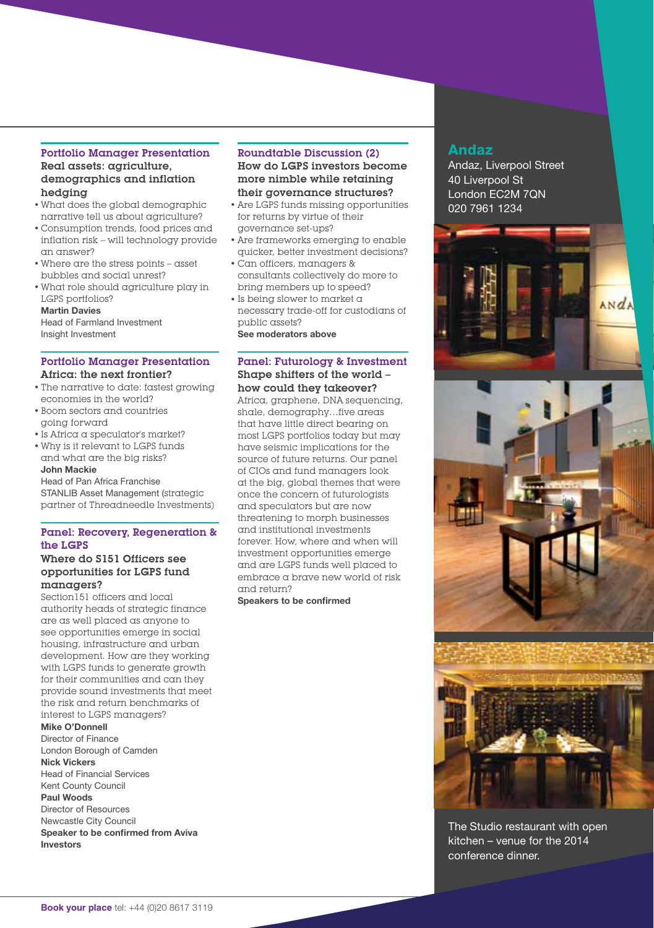#### Portfolio Manager Presentation Real assets: agriculture, demographics and inflation hedging

- What does the global demographic narrative tell us about agriculture?
- Consumption trends, food prices and inflation risk – will technology provide an answer?
- Where are the stress points asset bubbles and social unrest?
- What role should agriculture play in LGPS portfolios? Martin Davies

Head of Farmland Investment Insight Investment

#### Portfolio Manager Presentation Africa: the next frontier?

- The narrative to date: fastest growing economies in the world?
- Boom sectors and countries going forward
- Is Africa a speculator's market?
- Why is it relevant to LGPS funds and what are the big risks? John Mackie

Head of Pan Africa Franchise STANLIB Asset Management (strategic partner of Threadneedle Investments)

## Panel: Recovery, Regeneration & the LGPS

#### Where do S151 Officers see opportunities for LGPS fund managers?

Section151 officers and local authority heads of strategic finance are as well placed as anyone to see opportunities emerge in social housing, infrastructure and urban development. How are they working with LGPS funds to generate growth for their communities and can they provide sound investments that meet the risk and return benchmarks of interest to LGPS managers?

#### Mike O'Donnell

Director of Finance London Borough of Camden

# Nick Vickers

Head of Financial Services Kent County Council Paul Woods Director of Resources Newcastle City Council Speaker to be confirmed from Aviva Investors

#### Roundtable Discussion (2) How do LGPS investors become more nimble while retaining their governance structures?

- Are LGPS funds missing opportunities for returns by virtue of their governance set-ups?
- Are frameworks emerging to enable quicker, better investment decisions?
- Can officers, managers & consultants collectively do more to bring members up to speed?
- $\cdot$  Is being slower to market a necessary trade-off for custodians of public assets?

See moderators above

#### Panel: Futurology & Investment Shape shifters of the world – how could they takeover?

Africa, graphene, DNA sequencing, shale, demography…five areas that have little direct bearing on most LGPS portfolios today but may have seismic implications for the source of future returns. Our panel of CIOs and fund managers look at the big, global themes that were once the concern of futurologists and speculators but are now threatening to morph businesses and institutional investments forever. How, where and when will investment opportunities emerge and are LGPS funds well placed to embrace a brave new world of risk and return?

Speakers to be confirmed

# Andaz

Andaz, Liverpool Street 40 Liverpool St London EC2M 7QN 020 7961 1234



The Studio restaurant with open kitchen – venue for the 2014 conference dinner.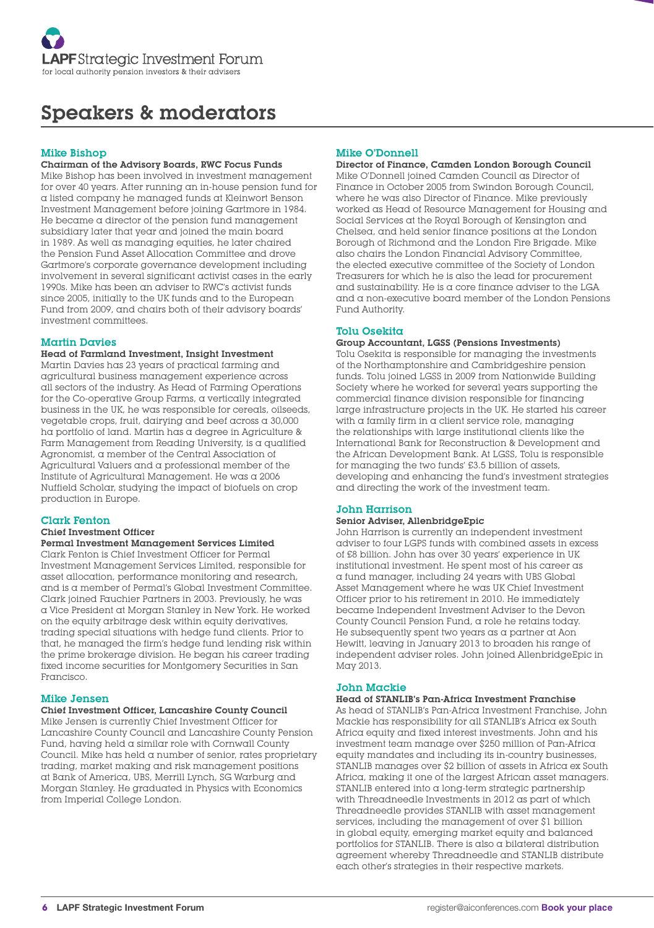

# Speakers & moderators

#### Mike Bishop

#### Chairman of the Advisory Boards, RWC Focus Funds

Mike Bishop has been involved in investment management for over 40 years. After running an in-house pension fund for a listed company he managed funds at Kleinwort Benson Investment Management before joining Gartmore in 1984. He became a director of the pension fund management subsidiary later that year and joined the main board in 1989. As well as managing equities, he later chaired the Pension Fund Asset Allocation Committee and drove Gartmore's corporate governance development including involvement in several significant activist cases in the early 1990s. Mike has been an adviser to RWC's activist funds since 2005, initially to the UK funds and to the European Fund from 2009, and chairs both of their advisory boards' investment committees.

#### Martin Davies

#### Head of Farmland Investment, Insight Investment

Martin Davies has 23 years of practical farming and agricultural business management experience across all sectors of the industry. As Head of Farming Operations for the Co-operative Group Farms, a vertically integrated business in the UK, he was responsible for cereals, oilseeds, vegetable crops, fruit, dairying and beef across a 30,000 ha portfolio of land. Martin has a degree in Agriculture & Farm Management from Reading University, is a qualified Agronomist, a member of the Central Association of Agricultural Valuers and a professional member of the Institute of Agricultural Management. He was a 2006 Nuffield Scholar, studying the impact of biofuels on crop production in Europe.

#### Clark Fenton

## Chief Investment Officer

#### Permal Investment Management Services Limited Clark Fenton is Chief Investment Officer for Permal

Investment Management Services Limited, responsible for asset allocation, performance monitoring and research, and is a member of Permal's Global Investment Committee. Clark joined Fauchier Partners in 2003. Previously, he was a Vice President at Morgan Stanley in New York. He worked on the equity arbitrage desk within equity derivatives, trading special situations with hedge fund clients. Prior to that, he managed the firm's hedge fund lending risk within the prime brokerage division. He began his career trading fixed income securities for Montgomery Securities in San Francisco.

#### Mike Jensen

#### Chief Investment Officer, Lancashire County Council

Mike Jensen is currently Chief Investment Officer for Lancashire County Council and Lancashire County Pension Fund, having held a similar role with Cornwall County Council. Mike has held a number of senior, rates proprietary trading, market making and risk management positions at Bank of America, UBS, Merrill Lynch, SG Warburg and Morgan Stanley. He graduated in Physics with Economics from Imperial College London.

#### Mike O'Donnell

#### Director of Finance, Camden London Borough Council Mike O'Donnell joined Camden Council as Director of

Finance in October 2005 from Swindon Borough Council, where he was also Director of Finance. Mike previously worked as Head of Resource Management for Housing and Social Services at the Royal Borough of Kensington and Chelsea, and held senior finance positions at the London Borough of Richmond and the London Fire Brigade. Mike also chairs the London Financial Advisory Committee, the elected executive committee of the Society of London Treasurers for which he is also the lead for procurement and sustainability. He is a core finance adviser to the LGA and a non-executive board member of the London Pensions Fund Authority.

#### Tolu Osekita

#### Group Accountant, LGSS (Pensions Investments)

Tolu Osekita is responsible for managing the investments of the Northamptonshire and Cambridgeshire pension funds. Tolu joined LGSS in 2009 from Nationwide Building Society where he worked for several years supporting the commercial finance division responsible for financing large infrastructure projects in the UK. He started his career with  $\alpha$  family firm in  $\alpha$  client service role, managing the relationships with large institutional clients like the International Bank for Reconstruction & Development and the African Development Bank. At LGSS, Tolu is responsible for managing the two funds' £3.5 billion of assets, developing and enhancing the fund's investment strategies and directing the work of the investment team.

#### John Harrison

#### Senior Adviser, AllenbridgeEpic

John Harrison is currently an independent investment adviser to four LGPS funds with combined assets in excess of £8 billion. John has over 30 years' experience in UK institutional investment. He spent most of his career as a fund manager, including 24 years with UBS Global Asset Management where he was UK Chief Investment Officer prior to his retirement in 2010. He immediately became Independent Investment Adviser to the Devon County Council Pension Fund, a role he retains today. He subsequently spent two years as a partner at Aon Hewitt, leaving in January 2013 to broaden his range of independent adviser roles. John joined AllenbridgeEpic in May 2013.

#### John Mackie

#### Head of STANLIB's Pan-Africa Investment Franchise

As head of STANLIB's Pan-Africa Investment Franchise, John Mackie has responsibility for all STANLIB's Africa ex South Africa equity and fixed interest investments. John and his investment team manage over \$250 million of Pan-Africa equity mandates and including its in-country businesses, STANLIB manages over \$2 billion of assets in Africa ex South Africa, making it one of the largest African asset managers. STANLIB entered into a long-term strategic partnership with Threadneedle Investments in 2012 as part of which Threadneedle provides STANLIB with asset management services, including the management of over \$1 billion in global equity, emerging market equity and balanced portfolios for STANLIB. There is also a bilateral distribution agreement whereby Threadneedle and STANLIB distribute each other's strategies in their respective markets.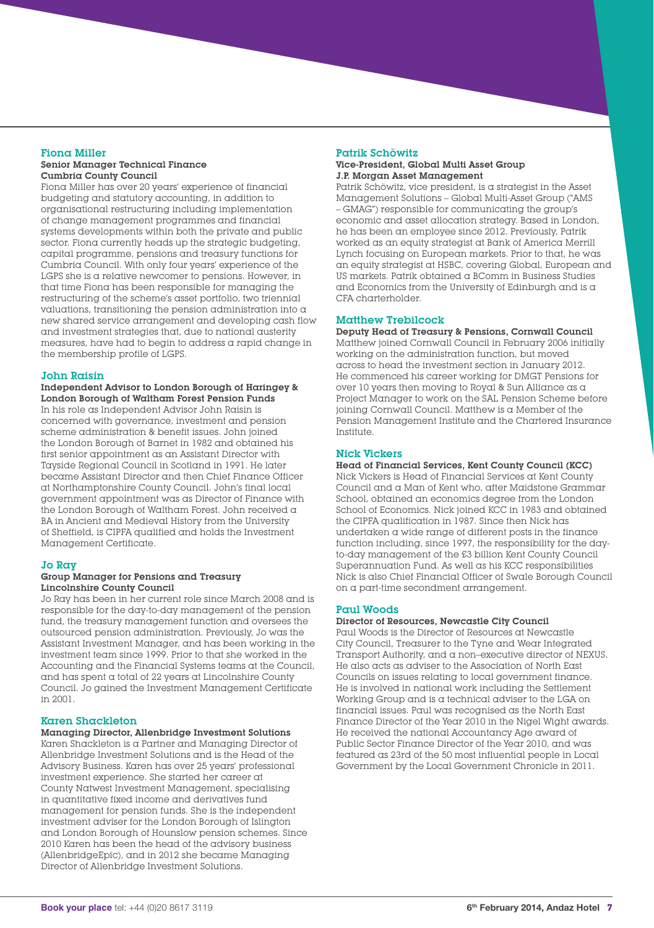#### Fiona Miller Senior Manager Technical Finance Cumbria County Council

Fiona Miller has over 20 years' experience of financial budgeting and statutory accounting, in addition to organisational restructuring including implementation of change management programmes and financial systems developments within both the private and public sector. Fiona currently heads up the strategic budgeting, capital programme, pensions and treasury functions for Cumbria Council. With only four years' experience of the LGPS she is a relative newcomer to pensions. However, in that time Fiona has been responsible for managing the restructuring of the scheme's asset portfolio, two triennial valuations, transitioning the pension administration into a new shared service arrangement and developing cash flow and investment strategies that, due to national austerity measures, have had to begin to address a rapid change in the membership profile of LGPS.

#### John Raisin

Independent Advisor to London Borough of Haringey & London Borough of Waltham Forest Pension Funds In his role as Independent Advisor John Raisin is concerned with governance, investment and pension scheme administration & benefit issues. John joined the London Borough of Barnet in 1982 and obtained his first senior appointment as an Assistant Director with Tayside Regional Council in Scotland in 1991. He later became Assistant Director and then Chief Finance Officer at Northamptonshire County Council. John's final local government appointment was as Director of Finance with the London Borough of Waltham Forest. John received a BA in Ancient and Medieval History from the University of Sheffield, is CIPFA qualified and holds the Investment Management Certificate.

#### Jo Ray

#### Group Manager for Pensions and Treasury Lincolnshire County Council

Jo Ray has been in her current role since March 2008 and is responsible for the day-to-day management of the pension fund, the treasury management function and oversees the outsourced pension administration. Previously, Jo was the Assistant Investment Manager, and has been working in the investment team since 1999. Prior to that she worked in the Accounting and the Financial Systems teams at the Council, and has spent a total of 22 years at Lincolnshire County Council. Jo gained the Investment Management Certificate in 2001.

#### Karen Shackleton

Managing Director, Allenbridge Investment Solutions Karen Shackleton is a Partner and Managing Director of Allenbridge Investment Solutions and is the Head of the Advisory Business. Karen has over 25 years' professional investment experience. She started her career at County Natwest Investment Management, specialising in quantitative fixed income and derivatives fund management for pension funds. She is the independent investment adviser for the London Borough of Islington and London Borough of Hounslow pension schemes. Since 2010 Karen has been the head of the advisory business (AllenbridgeEpic), and in 2012 she became Managing Director of Allenbridge Investment Solutions.

# Patrik Schöwitz

#### Vice-President, Global Multi Asset Group J.P. Morgan Asset Management

Patrik Schöwitz, vice president, is a strategist in the Asset Management Solutions – Global Multi-Asset Group ("AMS – GMAG") responsible for communicating the group's economic and asset allocation strategy. Based in London, he has been an employee since 2012. Previously, Patrik worked as an equity strategist at Bank of America Merrill Lynch focusing on European markets. Prior to that, he was an equity strategist at HSBC, covering Global, European and US markets. Patrik obtained a BComm in Business Studies and Economics from the University of Edinburgh and is a CFA charterholder.

#### Matthew Trebilcock

Deputy Head of Treasury & Pensions, Cornwall Council Matthew joined Cornwall Council in February 2006 initially working on the administration function, but moved across to head the investment section in January 2012. He commenced his career working for DMGT Pensions for over 10 years then moving to Royal & Sun Alliance as a Project Manager to work on the SAL Pension Scheme before joining Cornwall Council. Matthew is a Member of the Pension Management Institute and the Chartered Insurance Institute.

#### Nick Vickers

Head of Financial Services, Kent County Council (KCC) Nick Vickers is Head of Financial Services at Kent County Council and a Man of Kent who, after Maidstone Grammar School, obtained an economics degree from the London School of Economics. Nick joined KCC in 1983 and obtained the CIPFA qualification in 1987. Since then Nick has undertaken a wide range of different posts in the finance function including, since 1997, the responsibility for the dayto-day management of the £3 billion Kent County Council Superannuation Fund. As well as his KCC responsibilities Nick is also Chief Financial Officer of Swale Borough Council on a part-time secondment arrangement.

#### Paul Woods

#### Director of Resources, Newcastle City Council

Paul Woods is the Director of Resources at Newcastle City Council, Treasurer to the Tyne and Wear Integrated Transport Authority, and a non–executive director of NEXUS. He also acts as adviser to the Association of North East Councils on issues relating to local government finance. He is involved in national work including the Settlement Working Group and is a technical adviser to the LGA on financial issues. Paul was recognised as the North East Finance Director of the Year 2010 in the Nigel Wight awards. He received the national Accountancy Age award of Public Sector Finance Director of the Year 2010, and was featured as 23rd of the 50 most influential people in Local Government by the Local Government Chronicle in 2011.